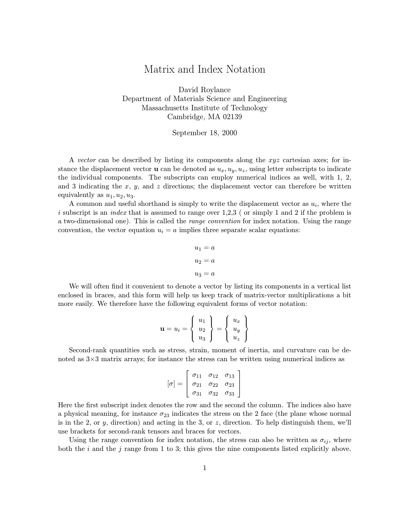## Matrix and Index Notation

David Roylance Department of Materials Science and Engineering Massachusetts Institute of Technology Cambridge, MA 02139

## September 18, 2000

A vector can be described by listing its components along the xyz cartesian axes; for instance the displacement vector **u** can be denoted as  $u_x, u_y, u_z$ , using letter subscripts to indicate the individual components. The subscripts can employ numerical indices as well, with 1, 2, and 3 indicating the x, y, and z directions; the displacement vector can therefore be written equivalently as  $u_1, u_2, u_3$ .

A common and useful shorthand is simply to write the displacement vector as  $u_i$ , where the i subscript is an *index* that is assumed to range over  $1,2,3$  (or simply 1 and 2 if the problem is a two-dimensional one). This is called the *range convention* for index notation. Using the range convention, the vector equation  $u_i = a$  implies three separate scalar equations:

$$
u_1 = a
$$

$$
u_2 = a
$$

$$
u_3 = a
$$

We will often find it convenient to denote a vector by listing its components in a vertical list enclosed in braces, and this form will help us keep track of matrix-vector multiplications a bit more easily. We therefore have the following equivalent forms of vector notation:

$$
\mathbf{u} = u_i = \left\{ \begin{array}{c} u_1 \\ u_2 \\ u_3 \end{array} \right\} = \left\{ \begin{array}{c} u_x \\ u_y \\ u_z \end{array} \right\}
$$

Second-rank quantities such as stress, strain, moment of inertia, and curvature can be denoted as 3×3 matrix arrays; for instance the stress can be written using numerical indices as

$$
[\sigma] = \left[\begin{array}{ccc} \sigma_{11} & \sigma_{12} & \sigma_{13} \\ \sigma_{21} & \sigma_{22} & \sigma_{23} \\ \sigma_{31} & \sigma_{32} & \sigma_{33} \end{array}\right]
$$

Here the first subscript index denotes the row and the second the column. The indices also have a physical meaning, for instance  $\sigma_{23}$  indicates the stress on the 2 face (the plane whose normal is in the 2, or y, direction) and acting in the 3, or  $z$ , direction. To help distinguish them, we'll use brackets for second-rank tensors and braces for vectors.

Using the range convention for index notation, the stress can also be written as  $\sigma_{ij}$ , where both the i and the j range from 1 to 3; this gives the nine components listed explicitly above.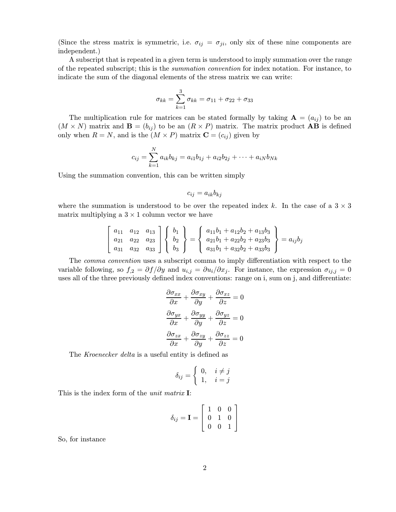(Since the stress matrix is symmetric, i.e.  $\sigma_{ij} = \sigma_{ji}$ , only six of these nine components are independent.)

A subscript that is repeated in a given term is understood to imply summation over the range of the repeated subscript; this is the *summation convention* for index notation. For instance, to indicate the sum of the diagonal elements of the stress matrix we can write:

$$
\sigma_{kk}=\sum_{k=1}^3\sigma_{kk}=\sigma_{11}+\sigma_{22}+\sigma_{33}
$$

The multiplication rule for matrices can be stated formally by taking  $\mathbf{A} = (a_{ij})$  to be an  $(M \times N)$  matrix and  $\mathbf{B} = (b_{ij})$  to be an  $(R \times P)$  matrix. The matrix product **AB** is defined only when  $R = N$ , and is the  $(M \times P)$  matrix  $\mathbf{C} = (c_{ij})$  given by

$$
c_{ij} = \sum_{k=1}^{N} a_{ik}b_{kj} = a_{i1}b_{1j} + a_{i2}b_{2j} + \dots + a_{iN}b_{Nk}
$$

Using the summation convention, this can be written simply

$$
c_{ij} = a_{ik}b_{kj}
$$

where the summation is understood to be over the repeated index k. In the case of a  $3 \times 3$ matrix multiplying a  $3 \times 1$  column vector we have

$$
\begin{bmatrix} a_{11} & a_{12} & a_{13} \ a_{21} & a_{22} & a_{23} \ a_{31} & a_{32} & a_{33} \end{bmatrix} \begin{Bmatrix} b_1 \ b_2 \ b_3 \end{Bmatrix} = \begin{Bmatrix} a_{11}b_1 + a_{12}b_2 + a_{13}b_3 \ a_{21}b_1 + a_{22}b_2 + a_{23}b_3 \ a_{31}b_1 + a_{32}b_2 + a_{33}b_3 \end{Bmatrix} = a_{ij}b_j
$$

The comma convention uses a subscript comma to imply differentiation with respect to the variable following, so  $f_{,2} = \partial f / \partial y$  and  $u_{i,j} = \partial u_i / \partial x_j$ . For instance, the expression  $\sigma_{i,j} = 0$ uses all of the three previously defined index conventions: range on i, sum on j, and differentiate:

$$
\frac{\partial \sigma_{xx}}{\partial x} + \frac{\partial \sigma_{xy}}{\partial y} + \frac{\partial \sigma_{xz}}{\partial z} = 0
$$

$$
\frac{\partial \sigma_{yx}}{\partial x} + \frac{\partial \sigma_{yy}}{\partial y} + \frac{\partial \sigma_{yz}}{\partial z} = 0
$$

$$
\frac{\partial \sigma_{zx}}{\partial x} + \frac{\partial \sigma_{zy}}{\partial y} + \frac{\partial \sigma_{zz}}{\partial z} = 0
$$

The Kroenecker delta is a useful entity is defined as

$$
\delta_{ij} = \begin{cases} 0, & i \neq j \\ 1, & i = j \end{cases}
$$

This is the index form of the *unit matrix* I:

$$
\delta_{ij} = \mathbf{I} = \left[ \begin{array}{rrr} 1 & 0 & 0 \\ 0 & 1 & 0 \\ 0 & 0 & 1 \end{array} \right]
$$

So, for instance